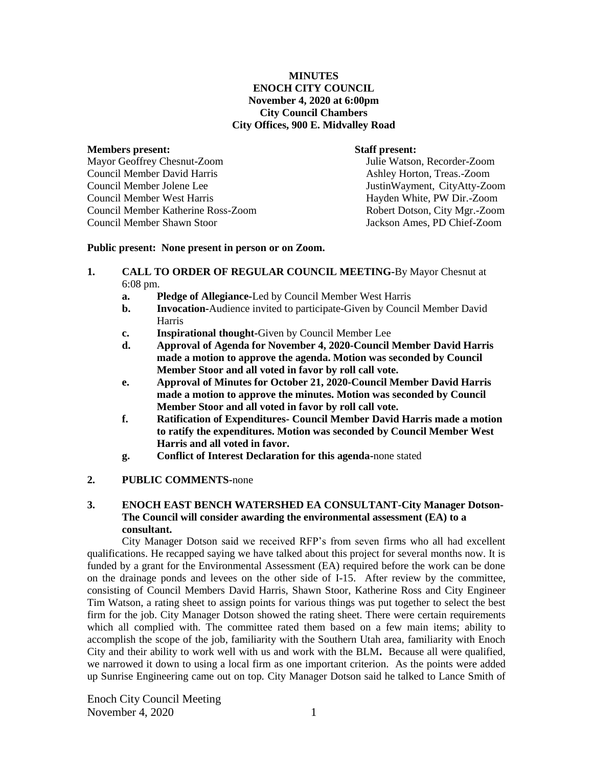### **MINUTES ENOCH CITY COUNCIL November 4, 2020 at 6:00pm City Council Chambers City Offices, 900 E. Midvalley Road**

#### **Members present: Staff present:**

Mayor Geoffrey Chesnut-Zoom Julie Watson, Recorder-Zoom Council Member David Harris **Ashley Horton, Treas.-Zoom** Council Member Jolene Lee JustinWayment, CityAtty-Zoom Council Member West Harris Hayden White, PW Dir.-Zoom Council Member Katherine Ross-Zoom Robert Dotson, City Mgr.-Zoom Council Member Shawn Stoor Jackson Ames, PD Chief-Zoom

#### **Public present: None present in person or on Zoom.**

- **1. CALL TO ORDER OF REGULAR COUNCIL MEETING-**By Mayor Chesnut at 6:08 pm.
	- **a. Pledge of Allegiance-**Led by Council Member West Harris
	- **b. Invocation-**Audience invited to participate-Given by Council Member David Harris
	- **c. Inspirational thought-**Given by Council Member Lee
	- **d. Approval of Agenda for November 4, 2020-Council Member David Harris made a motion to approve the agenda. Motion was seconded by Council Member Stoor and all voted in favor by roll call vote.**
	- **e. Approval of Minutes for October 21, 2020-Council Member David Harris made a motion to approve the minutes. Motion was seconded by Council Member Stoor and all voted in favor by roll call vote.**
	- **f. Ratification of Expenditures- Council Member David Harris made a motion to ratify the expenditures. Motion was seconded by Council Member West Harris and all voted in favor.**
	- **g. Conflict of Interest Declaration for this agenda-**none stated

## **2. PUBLIC COMMENTS-**none

# **3. ENOCH EAST BENCH WATERSHED EA CONSULTANT-City Manager Dotson-The Council will consider awarding the environmental assessment (EA) to a consultant.**

City Manager Dotson said we received RFP's from seven firms who all had excellent qualifications. He recapped saying we have talked about this project for several months now. It is funded by a grant for the Environmental Assessment (EA) required before the work can be done on the drainage ponds and levees on the other side of I-15. After review by the committee, consisting of Council Members David Harris, Shawn Stoor, Katherine Ross and City Engineer Tim Watson, a rating sheet to assign points for various things was put together to select the best firm for the job. City Manager Dotson showed the rating sheet. There were certain requirements which all complied with. The committee rated them based on a few main items; ability to accomplish the scope of the job, familiarity with the Southern Utah area, familiarity with Enoch City and their ability to work well with us and work with the BLM**.** Because all were qualified, we narrowed it down to using a local firm as one important criterion. As the points were added up Sunrise Engineering came out on top. City Manager Dotson said he talked to Lance Smith of

Enoch City Council Meeting November 4, 2020 1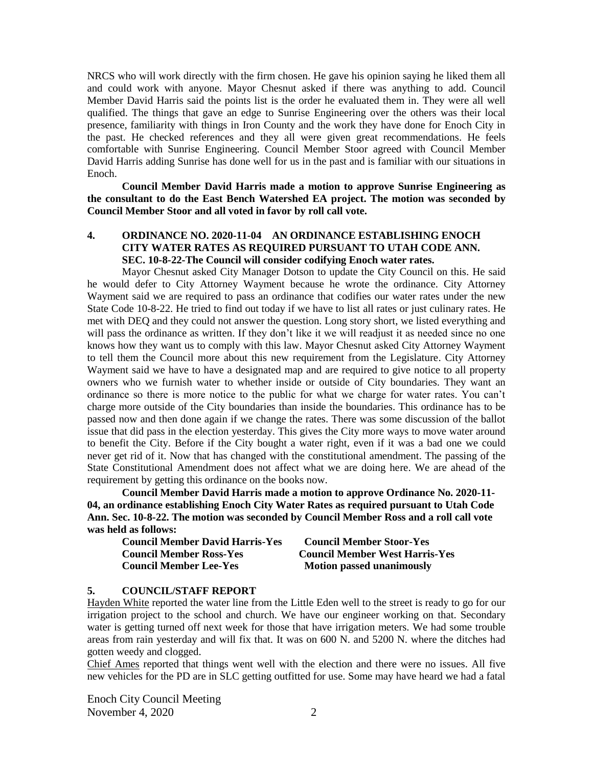NRCS who will work directly with the firm chosen. He gave his opinion saying he liked them all and could work with anyone. Mayor Chesnut asked if there was anything to add. Council Member David Harris said the points list is the order he evaluated them in. They were all well qualified. The things that gave an edge to Sunrise Engineering over the others was their local presence, familiarity with things in Iron County and the work they have done for Enoch City in the past. He checked references and they all were given great recommendations. He feels comfortable with Sunrise Engineering. Council Member Stoor agreed with Council Member David Harris adding Sunrise has done well for us in the past and is familiar with our situations in Enoch.

**Council Member David Harris made a motion to approve Sunrise Engineering as the consultant to do the East Bench Watershed EA project. The motion was seconded by Council Member Stoor and all voted in favor by roll call vote.** 

# **4. ORDINANCE NO. 2020-11-04 AN ORDINANCE ESTABLISHING ENOCH CITY WATER RATES AS REQUIRED PURSUANT TO UTAH CODE ANN. SEC. 10-8-22-The Council will consider codifying Enoch water rates.**

Mayor Chesnut asked City Manager Dotson to update the City Council on this. He said he would defer to City Attorney Wayment because he wrote the ordinance. City Attorney Wayment said we are required to pass an ordinance that codifies our water rates under the new State Code 10-8-22. He tried to find out today if we have to list all rates or just culinary rates. He met with DEQ and they could not answer the question. Long story short, we listed everything and will pass the ordinance as written. If they don't like it we will readjust it as needed since no one knows how they want us to comply with this law. Mayor Chesnut asked City Attorney Wayment to tell them the Council more about this new requirement from the Legislature. City Attorney Wayment said we have to have a designated map and are required to give notice to all property owners who we furnish water to whether inside or outside of City boundaries. They want an ordinance so there is more notice to the public for what we charge for water rates. You can't charge more outside of the City boundaries than inside the boundaries. This ordinance has to be passed now and then done again if we change the rates. There was some discussion of the ballot issue that did pass in the election yesterday. This gives the City more ways to move water around to benefit the City. Before if the City bought a water right, even if it was a bad one we could never get rid of it. Now that has changed with the constitutional amendment. The passing of the State Constitutional Amendment does not affect what we are doing here. We are ahead of the requirement by getting this ordinance on the books now.

**Council Member David Harris made a motion to approve Ordinance No. 2020-11- 04, an ordinance establishing Enoch City Water Rates as required pursuant to Utah Code Ann. Sec. 10-8-22. The motion was seconded by Council Member Ross and a roll call vote was held as follows:**

| <b>Council Member David Harris-Yes</b> | <b>Council Member Stoor-Yes</b>       |
|----------------------------------------|---------------------------------------|
| <b>Council Member Ross-Yes</b>         | <b>Council Member West Harris-Yes</b> |
| <b>Council Member Lee-Yes</b>          | <b>Motion passed unanimously</b>      |

#### **5. COUNCIL/STAFF REPORT**

Hayden White reported the water line from the Little Eden well to the street is ready to go for our irrigation project to the school and church. We have our engineer working on that. Secondary water is getting turned off next week for those that have irrigation meters. We had some trouble areas from rain yesterday and will fix that. It was on 600 N. and 5200 N. where the ditches had gotten weedy and clogged.

Chief Ames reported that things went well with the election and there were no issues. All five new vehicles for the PD are in SLC getting outfitted for use. Some may have heard we had a fatal

Enoch City Council Meeting November 4, 2020 2